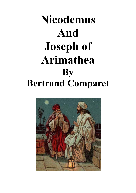# **Nicodemus And Joseph of Arimathea By Bertrand Comparet**

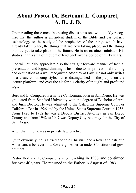#### **About Pastor Dr. Bertrand L. Comparet, A. B., J. D.**

Upon reading these most interesting discussions one will quickly recognize that the author is an ardent student of the Bible and particularly eschatology or the study of the prophecies of the things which have already taken place, the things that are now taking place, and the things that are yet to take place in the future. He is an ordained minister. His studies in this area of thought extend back over a period of thirty years.

One will quickly appreciate also the straight forward manner of factual presentation and logical thinking. This is due to his professional training and occupation as a well recognized Attorney at Law. He not only writes in a clear, convincing style, but is distinguished in the pulpit, on the lecture platform, and over the air for his clarity of thought and profound logic.

Bertrand L. Comparet is a native Californian, born in San Diego. He was graduated from Stanford University with the degree of Bachelor of Arts and Juris Doctor. He was admitted to the California Supreme Court or California Bar in 1926 and by the United States Supreme Court in 1956. From 1926 to 1932 he was a Deputy District Attorney in San Diego County and from 1942 to 1947 was Deputy City Attorney for the City of San Diego.

After that time he was in private law practice.

Quite obviously, he is a tried and true Christian and a loyal and patriotic American, a believer in a Sovereign America under Constitutional government.

Pastor Bertrand L. Comparet started teaching in 1933 and continued for over 40 years. He returned to the Father in August of 1983.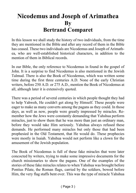#### **Nicodemus and Joseph of Arimathea By Bertrand Comparet**

In this lesson we shall study the history of two individuals, from the time they are mentioned in the Bible and after any record of them in the Bible has ceased. These two individuals are Nicodemus and Joseph of Arimathea, who are well-established historical characters, in addition to the mention of them in Biblical records.

In our Bible, the only reference to Nicodemus in found in the gospel of John. It is a surprise to find Nicodemus is also mentioned in the Jewish Talmud. There is also the Book of Nicodemus, which was written some time during the first three centuries A.D. None of the early Christian writers, before 250 A.D. or 275 A.D., mention the Book of Nicodemus at all, although later it is extensively quoted.

There was a period of several centuries in which people thought they had to help Yahweh, He couldn't get along by Himself. These people were eager to make as many converts among the pagans as they could. In those days, as well as now, people were greatly impressed by miracles. Remember how the Jews were constantly demanding that Yahshua perform miracles, just to show them that he was more than just an ordinary man, before they would take Him seriously. Yahshua always refused these demands. He performed many miracles but only those that had been prophesied in the Old Testament, that He would do. These prophecies were mostly in Isaiah. Yahshua would not perform like a clown for the amusement of the Jewish population.

The Book of Nicodemus is full of these fake miracles that were later concocted by writers, trying to make some impressive documents for the church missionaries to show the pagans. One of the examples of the stories of these fake miracles relates to when Yahshua was brought before Pontius Pilate, the Roman flags, carried by the soldiers, bowed before Him, the very flag staffs bent over. This was the type of miracle Yahshua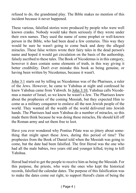refused to do, the grandstand play. The Bible makes no mention of this incident because it never happened.

These various, falsified stories were produced by people who were well known cranks. Nobody would take them seriously if they wrote under their own names. They used the name of some prophet or well-known person in the Bible, who had been dead a few centuries. This way they would be sure he wasn't going to come back and deny the alleged miracles. These false writers wrote their fairy tales in the dead person's name and hoped it would get circulation on the basis of the authorship, falsely ascribed to these tales. The Book of Nicodemus is in this category, however it does contain some elements of truth, in this way giving it better credibility. Don't ever mistake this book as being genuine, or having been written by Nicodemus, because it wasn't.

John 3:1 starts out by telling us Nicodemus was of the Pharisees, a ruler of the Jews. However, he came to Yahshua at night and confessed he knew Yahshua came from Yahweh. In John 3:10, Yahshua calls Nicodemus a master of Israel, so we know he wasn't a Jew. The Pharisees knew about the prophesies of the coming Messiah, but they expected Him to come as a military conqueror to enslave all the non Jewish people of the world. They wanted all the wealth of the world delivered into Jewish hands. The Pharisees had seen Yahshua do a number of miracles, so this made them think because he was doing these miracles, He should kill off the Roman army and set them free to loot.

Have you ever wondered why Pontius Pilate was so jittery about something that might upset these Jews, during this period of time? The prophesies from the Book of Daniel told when the Messiah was going to come, but the date had been falsified. The first Herod was the one who had all the male babies, two years old and younger killed, trying to kill Yahshua.

Herod had tried to get the people to receive him as being the Messiah. For this purpose, the priests, who were the ones who kept the historical records, falsified the calendar dates. The purpose of this falsification was to make the dates come out right, to support Herod's claim of being the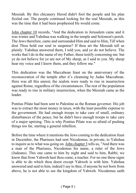Messiah. By this chicanery Herod didn't fool the people and his plan fizzled out. The people continued looking for the real Messiah, as this was the time that it had been prophesied He would come.

John chapter 10 records, "And the dedication in Jerusalem came and it was winter and Yahshua was walking in the temple and Solomon's porch. The Jews therefore, came and surrounded Him and said to Him, Till when dost Thou hold our soul in suspense? If thou art the Messiah tell us plainly. Yahshua answered them, I told you, and ye do not believe. The works that I do in the name of my Father, these testify concerning me: but ye do not believe for ye are not of My sheep, as I said to you. My sheep hear my voice and I know them, and they follow me."

This dedication was the Maccabean feast on the anniversary of the reconsecration of the temple after it's cleansing by Judas Maccabean. Here was all this unrest; the zealots were ready to rise in insurrection against Rome, regardless of the circumstances. The rest of the population was ready to rise in military insurrection, when the Messiah came as the leader.

Pontius Pilate had been sent to Palestine as the Roman governor. His job was to extract the most money in taxes, with the least possible expense to the government. He had enough troops to take care of small, ordinary disturbances of the peace, but he didn't have enough troops to take care of a major uprising. This is why Pontius Pilate was so afraid of pushing things too far, starting a general rebellion.

Before the time where it mentions the Jews coming to the dedication feast in December, the Pharisees had sent Nicodemus, in private, to Yahshua to inquire as to what was going on. John chapter 3 tells us, "And there was a man of the Pharisees, Nicodemus his name, a ruler of the Jews (Judeans). This one came to him by night and said to him, Rabbi; we know that from Yahweh hast thou come, a teacher. For no one these signs is able to do which thou doest except Yahweh is with him. Yahshua answered and said to him, indeed I say to thee, if anyone be not born from above, he is not able to see the kingdom of Yahweh. Nicodemus saith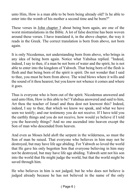unto Him, How is a man able to be born being already old? Is he able to enter into the womb of his mother a second time and be born?"

These verses in John chapter 3 about being born again, are one of the worst mistranslations in the Bible. A lot of false doctrine has been woven around these verses. I have translated it, in the above chapter, the way it reads in the Greek. The correct translation is born from above, not born again.

It is only Nicodemus, not understanding born from above, who brings in any idea of being born again. Notice what Yahshua replied. "Indeed, indeed, I say to thee, if a man be not born of water and the spirit, he is not able to enter into the kingdom of Yahweh. That being born of the flesh is flesh and that being born of the spirit is spirit. Do not wonder that I said to thee, you must be born from above. The wind blows where it wills and the sound of it thou hearest; but you know not whence it comes and where it goes.

Thus is everyone who is born out of the spirit. Nicodemus answered and said unto Him, How is this able to be? Yahshua answered and said to him, Art thou the teacher of Israel and thou dost not knowest this? Indeed, indeed, I say to thee, that which we know we speak, and what we have seen we testify; and our testimony you do not receive. If I have told you the earthly things and you do not receive, how would ye believe if I told you the heavenly things? And no one ascended into heaven except the Son of man who descended from heaven.

And even as Moses held aloft the serpent in the wilderness, so must the Son of man be raised. That everyone who believes in him may not be destroyed, but may have life age abiding. For Yahweh so loved the world that He gave his only begotten Son that everyone believing in him may not be destroyed, but may have life age abiding. Yahweh sent not his son into the world that He might judge the world, but that the world might be saved through him.

He who believes in him is not judged; but he who does not believe is judged already because he has not believed in the name of the only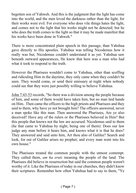begotten son of Yahweh. And this is the judgment that the light has come into the world, and the men loved the darkness rather than the light, for their works were evil. For everyone who does vile things hates the light, and comes not to the light that his works might not be detected; but he who does the truth comes to the light so that it may be made manifest that his works have been done in Yahweh."

There is more concentrated plain speech in this passage, than Yahshua gave directly to His apostles. Yahshua was telling Nicodemus how it really was but, Nicodemus couldn't understand it as yet. Yahshua saw beneath outward appearances, He knew that here was a man who had what it took to respond to the truth.

However the Pharisees wouldn't come to Yahshua, other than scoffing and ridiculing Him in the daytime, they only came when they couldn't be seen. They would come, or send their emissary at night when nobody could see that they were just possibly willing to believe Yahshua.

John 7:43-53 records, "So there was a division among the people because of him, and some of them would have taken him, but no man laid hands on Him. Then came the officers to the high priests and Pharisees and they said to them, why have ye not brought him? The officers answered, never a man spoke like this man. Then answered the Pharisees, Are ye also deceived? Have any of the rulers or the Pharisees believed in Him? But this people that knows not the law are accursed. Nicodemus said to them (he that came to Yahshua by night, being one of them): Does our law judge any man before it hears him, and knows what it is that he does? They answered and said unto him, Art thou also of Galilee? Search and look, for out of Galilee arises no prophet; and every man went into his own house."

The Pharisees treated the common people with the utmost contempt. They called them, *am ha eratz* meaning the people of the land. The Pharisees did believe in resurrection but said the common people weren't worthy of it. Like the Pharisees of today in our churches, they didn't know their scriptures. Remember how often Yahshua had to say to them, "Ye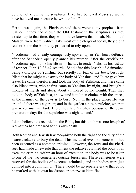do err, not knowing the scriptures. If ye had believed Moses ye would have believed me, because he wrote of me."

Here it was again, the Pharisees said there weren't any prophets from Galilee. If they had known the Old Testament, the scriptures, as they existed up to that time, they would have known that Jonah, Nahum and Malachi were from Galilee. Like most of the clergy of today, they didn't read or know the book they professed to rely upon.

Nicodemus had already courageously spoken up in Yahshua's defence, after the Sanhedrin openly planned his murder. After the crucifixion, Nicodemus again took his life in his hands, to render Yahshua his last act of respect. John 19:38-42 records, "And after this Joseph of Arimathea, being a disciple of Yahshua, but secretly for fear of the Jews, besought Pilate that he might take away the body of Yahshua; and Pilate gave him leave. He came therefore, and took the body of Yahshua; and there came also Nicodemus, who at first came to Yahshua by night, and brought a mixture of myrrh and aloes, about a hundred pound weight. Then they took the body of Yahshua, and wound it in linen clothes with the spices, as the manner of the Jews is to bury. Now in the place where He was crucified there was a garden; and in the garden a new sepulchre, wherein was never man yet laid. There they laid Yahshua because of the Jews' preparation day; for the sepulchre was nigh at hand."

I don't believe it is recorded in the Bible, but this tomb was one Joseph of Arimathea had prepared for his own death.

Both Roman and Jewish law recognized both the right and the duty of the nearest relative to bury the dead. This included even someone who had been executed as a common criminal. However, the Jews and the Pharisees had made a new rule that unless the relatives claimed the body of an executed criminal within an hour of execution, the body was to be taken to one of the two cemeteries outside Jerusalem. These cemeteries were reserved for the bodies of executed criminals, and the bodies were just dumped into a common pit. There would be no separate grave that could be marked with its own headstone or otherwise identified.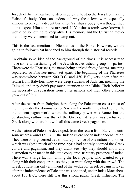Joseph of Arimathea had to step in quickly, to stop the Jews from taking Yahshua's body. You can understand why these Jews were especially anxious to prevent a decent burial for Yahshua's body, even though they didn't expect Him to be resurrected. If Yahshua's tomb were known, it would be something to keep alive His memory and the Christian movement they were determined to stamp out.

This is the last mention of Nicodemus in the Bible. However, we are going to follow what happened to him through the historical records.

To obtain some idea of the background of the times, it is necessary to have some understanding of the Jewish ecclesiastical groups or parties. There were the Pharisees, the name being derived from *pharash*, meaning separated, so Pharisee meant set apart. The beginning of the Pharisees was somewhere between 500 B.C. and 450 B.C., very soon after the return from Babylon. They were deep students of Judaism, meaning the Talmud, and they didn't pay much attention to the Bible. Their belief in the necessity of separation from other nations and their other customs grew out of this.

After the return from Babylon, here along the Palestinian coast (most of the time under the domination of Syria in the north), they had come into the ancient pagan world where the military power was Rome, but the outstanding culture was that of the Greeks. Literature was exclusively Greek along with art, but with all this came Greek paganism.

As the nation of Palestine developed, from the return from Babylon, until somewhere around 150 B.C., the Judeans were not an independent nation. They were only governed as a tributary province of one nation or another, which was Syria much of the time. Syria had entirely adopted the Greek culture and paganism, and they didn't see why they should allow any distinction to be made in this little conquered, tributary province of Judea. There was a large faction, among the local people, who wanted to get along with their conquerors, so they just went along with the crowd. The Greek culture was only a thin end of the wedge for Greek paganism. Even after the independence of Palestine was obtained, under Judas Maccabeus about 150 B.C., there still was this strong pagan Greek influence. The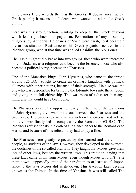King James Bible records them as the Greeks. It doesn't mean actual Greek people; it means the Judeans who wanted to adopt the Greek culture.

Here was this strong faction, wanting to keep all the Greek customs which lead right back into paganism. Persecutions of any dissenting religions, by Antiochus Epiphanes of Syria were harsh, so it became a precarious situation. Resistance to this Greek paganism centred in the Pharisee group, who at that time was called Hasidim, the pious ones.

The Hasidim gradually broke into two groups, those who were interested only in Judaism, as a religious cult, became the Essenes. Those who also became a political party, became the Pharisees.

One of the Maccabee kings, John Hyrcanus, who came to the throne around 125 B.C., sought to create an ordinary kingdom with political alliances with other nations, because of their strength. He also was the one who was responsible for bringing the Edomite Jews into the kingdom and giving them full citizenship. This was more of a disaster than anything else that could have been done.

The Pharisees became the opposition party. In the time of the grandsons of John Hyrcanus, civil war broke out between the Pharisees and the Sadducees. The Sadducees were very much on the Grecianized side so this civil war finally led to conquest by the Romans in 63 B.C.. The Pharisees refused to take the oath of allegiance either to the Romans or to Herod, and because of this refusal; they had to pay a fine.

The Pharisees were greatly respected by the learned and the common people, as students of the law. However, they developed to the extreme, the doctrines of the so called oral law. They taught that Moses gave them lots of other laws, besides the written laws. This tradition, saying that these laws came down from Moses, even though Moses wouldn't write them down, supposedly entitled their tradition to at least equal importance to the laws Moses did write down. This tradition later became known as the Talmud. In the time of Yahshua, it was still called The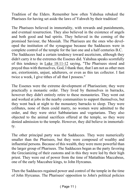Tradition of the Elders. Remember how often Yahshua rebuked the Pharisees for having set aside the laws of Yahweh by their tradition!

The Pharisees believed in immortality, with rewards and punishments, and eventual resurrection. They also believed in the existence of angels and both good and bad spirits. They believed in the coming of the promised Saviour, the Messiah. The Pharisees are the ones who developed the institution of the synagogue because the Sadducees were in complete control of the temple for the last one and a half centuries B.C. The Sadducees had a certain tendency toward asceticism, although they didn't carry it to the extremes the Essenes did. Yahshua speaks scornfully of this tendency in Luke 18:11-12 saying, "The Pharisees stood and prayed thus with themselves, God, I thank thee, that I am not as other men are, extortionists, unjust, adulterers, or even as this tax collector. I fast twice a week, I give tithes of all that I possess."

The Essenes were the extreme development of Phariseeism; they were practically a monastic order. They lived by themselves in barracks, however they didn't entirely retire to these monasteries. They went out and worked at jobs in the nearby communities to support themselves, but they went back at night to the monastery barracks to sleep. They were celibates, none of them could marry, no women were admitted to the order, and they were strict Sabbatarians and vegetarians. They also objected to the animal sacrifices offered at the temple, so they were denied admission to the temple. However, they did believe in immortality.

The other principal party was the Sadducees. They were numerically smaller than the Pharisees, but they were composed of wealthy and influential persons. Because of this wealth, they were more powerful than the larger group of Pharisees. The Sadducees began as the party favoring the Grecianizing of their customs and in this they were led by their high priest. They were out of power from the time of Mattathias Maccabeus, one of the early Maccabee kings, to John Hyrcanus.

Then the Sadducees regained power and control of the temple in the time of John Hyrcanus. The Pharisees' opposition to John's political policies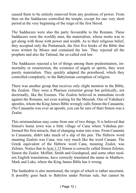caused them to be entirely removed from any positions of power. From then on the Sadducees controlled the temple, except for one very short period at the very beginning of the reign of the first Herod.

The Sadducees were also the party favourable to the Romans. These Sadducees were the worldly men, the materialists, whose motto was to get along with those with power and wealth. As to their religious belief, they accepted only the Pentateuch, the first five books of the Bible that were written by Moses and contained the law. They rejected all the prophets and also the Talmud, the so-called oral law.

The Sadducees rejected a lot of things among them predestination, immortality or resurrection, the existence of angels or spirits, they were purely materialists. They quickly adapted the priesthood, which they controlled completely, to the Babylonian corruption of religion.

There was another group that receives only slight mention in the Bible, the Zealots. They were a Pharisee extremist group but politically, not doctrinally, like the Essenes. The Zealots believed in immediate revolt against the Romans, not even waiting for the Messiah. One of Yahshua's apostles, whom the King James Bible wrongly calls Simon the Canaanite, (No Canaanite was ever an apostle, you can be sure of that) Simon was a Zealot.

This mistranslation may come from one of two things. It is believed that Simon's home town was a little village of Cana where Yahshua performed His first miracle, that of changing water into wine. From Cananite to Canaanite, didn't take much of a slip of the pen. The Hebrew word meaning Zealots was Cana, was very much like the word Canaan. The Greek equivalent of the Hebrew word Cana, meaning Zealot, was Zelotes. Notice that in Acts 1:13 Simon is correctly called Simon Zelotes, Simon the Zealot. Moffatt, Smith and Goodspeed, and some other modern English translations, have correctly translated the name in Matthew, Mark and Luke, where the King James Bible has it wrong.

The Sanhedrin is also mentioned, the origin of which is rather uncertain. It possibly goes back to Babylon under Persian rule, but cannot be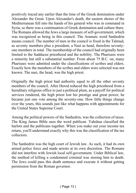positively traced any earlier than the time of the Greek domination under Alexander the Great. Upon Alexander's death, the eastern shores of the Mediterranean fell into the hands of his general who was in command in Syria, so there was a continuation of Greek domination and culture there. The Romans allowed the Jews a large measure of self-government, which was recognized as being in this council. The Aramaic word Sanhedrin means council. The number of men in the council is fixed in the Talmud, as seventy members plus a president, a Nasi as head, therefore seventyone members in total. The membership of the council had originally been limited to the Sadducee priesthood and the nobility. The Pharisees were a minority but still a substantial number. From about 75 B.C. on, many Pharisees were admitted under the classifications of scribes and elders. Exactly how the members of the scribes and elders were selected was not known. The nasi, the head, was the high priest.

Originally the high priest had authority equal to all the other seventy members of the council. After Herod reduced the high priesthood from a hereditary religious office to just a political plum, as a payoff for political services rendered, the high priest lost his prestige and great power, he became just one vote among the seventy-one. How little things change over the years, this sounds just like what happens with appointments for the United States Supreme Court.

Among the political powers of the Sanhedrin, was the collection of taxes. The King James Bible uses the word publican. Yahshua classified the harlots and the publicans together. When you make out your income tax return, you'll understand exactly why this was the classification of the tax collectors.

The Sanhedrin was the high court of Jewish law. As such, it had its own armed police force and made arrests at its own discretion. The Romans did not interfere with Jewish local self-government. Under Biblical law, the method of killing a condemned criminal was stoning him to death. The Jews could pass this death sentence and execute it without getting permission from the Roman governor.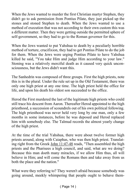When the Jews wanted to murder the first Christian martyr Stephen, they didn't go to ask permission from Pontius Pilate, they just picked up the stones and stoned Stephen to death. When the Jews wanted to use a method of execution that was not according to their own custom this was a different matter. Then they were getting outside the permitted sphere of self-government, so they had to go to the Roman governor for this.

When the Jews wanted to put Yahshua to death by a peculiarly horrible method of torture, crucifixion, they had to get Pontius Pilate to do the job for them. When the Jews were urging Pontius Pilate to have Yahshua killed he said, "You take Him and judge Him according to your law." Stoning was a relatively merciful death as it caused very quick unconsciousness, but the Jews didn't want this.

The Sanhedrin was composed of three groups. First the high priests, note this is in the plural. Under the rule set up in the Old Testament, there was only one high priest at any one time. The high priest held the office for life, and upon his death his oldest son succeeded to the office.

Herod the First murdered the last of the legitimate high priests who could still trace his descent from Aaron. Thereafter Herod appointed to the high priesthood, a succession of scoundrels out of his own political following. The high priesthood was never held very long by one man, only a few months in some instances, before he was deposed and Herod replaced him with somebody else. The Talmud records the almost yearly change of the high priest.

At the time of the trial Yahshua, there were about twelve former high priests around, along with Caiaphas, who was then high priest. Translating right from the Greek John 11:47-48 reads, "Then assembled the high priests and the Pharisees a high council, and said, what are we doing? Because this man doeth many miracles, if we allow Him thus, all will believe in Him; and will come the Romans then and take away from us both the place and the nation."

What were they referring to? They weren't afraid because somebody was going around, meekly whimpering that people ought to behave them-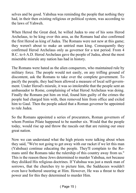selves and be good. Yahshua was reminding the people that nothing they had, in their then existing religious or political system, was according to the laws of Yahweh.

When Herod the Great died, he willed Judea to one of his sons Herod Archelaus, to be king over this area, as the Romans had also confirmed the first Herod as king of Judea. The Romans were not new at this game; they weren't about to make an untried man king. Consequently they confirmed Herod Archelaus only as governor for a test period. From 4 B.C. to 6 A.D. Herod Archelaus gave the people of Judea, about the most miserable misrule any nation has had in history.

The Romans were hated as the alien conquerors, who maintained rule by military force. The people would not easily, on any trifling ground of discontent, ask the Romans to take over the complete government. To pacify the people, they had been allowed a measure of local self-government. Under Herod's misrule, it was so intolerable that the people sent an ambassador to Rome, complaining of what Herod Archelaus was doing. Finally the Romans put him on trial, found him guilty of the crimes the people had charged him with, then removed him from office and exiled him to Gaul. Then the people asked that a Roman governor be appointed to rule Judea.

So the Romans appointed a series of procurators, Roman governors of whom Pontius Pilate happened to be number six. Would that the people today, would rise up and throw the rascals out that are ruining our once great nation.

Now we can understand what the high priests were talking about when they said, "We're not going to get away with our racket if we let this man (Yahshua) continue educating the people. They'll complain to the Romans until the Romans take the rulership of this country away from us." This is the reason these Jews determined to murder Yahshua, not because they disliked His religious doctrines. If Yahshua was just a meek man of sorrows, that the churches try to picture him, the Sadducees wouldn't even have bothered sneering at Him. However, He was a threat to their power and for this they determined to murder Him.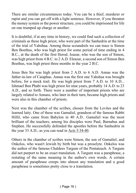There are similar circumstances today. You can be a thief, murderer or rapist and you can get off with a light sentence. However, if you threaten the money system or the power structure, you could be imprisoned for life on one trumped up charge or another.

It is doubtful, if at any time in history, we could find such a collection of criminals as these high priest, who were part of the Sanhedrin at the time of the trial of Yahshua. Among those scoundrels we can trace is Simon Ben Boethus, who was high priest for some period of time ending in 4 B.C., at the death of the first Herod. Joazar, who was the son of Simon, was high priest from 4 B.C. to 2 A.D. Eleazar, a second son of Simon Ben Boethus, was high priest three months in the year 2 B.C.

Jesus Ben Sie was high priest from 2 A.D. to 6 A.D. Annas was the father-in-law of Caiaphas. Annas was the first one Yahshua was brought before, for a mock trail. He was high priest from 7 A.D. to 10 A.D... Ishmael Ben Phabi was high priest for nine years, probably 14 A.D. to 23 A.D., and so forth. There were a number of important priests who are largely related to Annass, who later in their turn, became high priests and were also in this chamber of priests.

Next was the chamber of the scribes, chosen from the Levites and the learned laity. One of these was Gamaliel, grandson of the famous Rabbi Hillil, who came from Babylon in 40 A.D.. Gamaliel was the most brilliant of the teachers; among his disciples were Paul, Barnabas and Stephen. He successfully defended the apostles before the Sanhedrin in the year 33 A.D., as you can read in Acts 5:34-40.

Others in the chamber of scribes were Simon, the son of Gamaliel, and Onkelos, who wasn't Jewish by birth but was a proselyte. Onkelos was the author of the famous Chaldees Targum of the Pentateuch. A Targum did not purport to be an exact translation. A Targum was a paraphrase, a restating of the same meaning in the author's own words. A certain amount of paraphrase creeps into almost any translation and a good paraphrase is sometimes pretty close to a translation.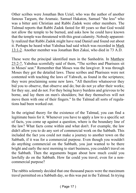Other scribes were Jonathan Ben Uziel, who was the author of another famous Targum, the Aramaic. Samuel Hakaton, Samuel "the less" who was a bitter anti Christian and Rabbi Zadok were other members. The Talmud reports that Rabbi Zadok fasted for 40 years so that God would not allow the temple to be burned, and asks how he could have known that the temple was threatened with this great calamity. Nobody apparently realized that Rabbi Zadok might have read Daniel and found out about it. Perhaps he heard what Yahshua had said which was recorded in Mark 13:1-2. Another member was Jonathan Ben Zakai, who died in 73 A.D.

These were the principal identified men in the Sanhedrin. In Matthew 23:2-7, Yahshua scornfully said of them, "The scribes and Pharisees sit in Moses' seat." Remember that Moses was the lawgiver. It was through Moses they got the detailed laws. These scribes and Pharisees were not contented with teaching the laws of Yahweh, as found in the scriptures; they were proclaiming some new laws. "All therefore whatsoever they bid you to observe, that observe and do; but do not ye after their works; for they say, and do not. For they being heavy burdens and grievous to be borne, and lay them on men's shoulders; but they themselves will not move them with one of their fingers." In the Talmud all sorts of regulations had been worked out.

In the original theory for the existence of the Talmud, you can find a legitimate basis for it. Whenever you have to apply a law to a specific set of facts, you come up against a question, where is the boundary line of the law? What facts come within and what don't. For example, the law didn't allow you to do any sort of commercial work on the Sabbath. This included the fact you could not make a journey to another town on the Sabbath, if it was for a commercial purpose. Even though you wouldn't do anything commercial on the Sabbath, you just wanted to be there bright and early the next morning to start business, you couldn't travel on the Sabbath. Then the arguments began about how much could you lawfully do on the Sabbath. How far could you travel, even for a noncommercial purpose?

The rabbis solemnly decided that one thousand paces were the maximum travel permitted on a Sabbath day, so this was put in the Talmud. In trying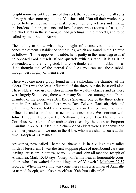to split non-existent frog hairs of this sort, the rabbis were setting all sorts of very burdensome regulations. Yahshua said, "But all their works they do for to be seen of men: they make broad their phylacteries and enlarge the borders of their garments, and love the uppermost rooms at feasts, and the chief seats in the synagogue, and greetings in the markets, and to be called by men, Rabbi, Rabbi."

The rabbis, to show what they thought of themselves in their own conceited esteem, established some rules, which are found in the Talmud as follows. "If one opposes his rabbi, he is guilty in the same degree as if he opposed God himself. If one quarrels with his rabbi, it is as if he contended with the living God. If anyone thinks evil of his rabbi, it is as if he thought evil of the eternal God." As you can see, these rabbis thought very highly of themselves.

There was one more group found in the Sanhedrin, the chamber of the elders. This was the least influential of the three, but the least evil also. These elders were usually chosen from the wealthy classes and as these were largely Sadducees, there were many Sadducees among them. In the chamber of the elders was Ben Kalba Shevuah, one of the three richest men in Jerusalem. Then there were Ben Tzitzith Hacksab, rich and effeminate, Simon, bold and courageous also learned, and Doras an influential and a cruel and treacherous conspirator. We continue with John Ben John, Dorotheas Ben Nathaniel, Tryphon Ben Theudion and Cornelius Ben Ceron, four ambassadors sent by the Jews to Emperor Claudius in 44 A.D. Also in the chamber of elders were Nicodemus and the other person who we met in the Bible, whom we shall discuss at this time, Joseph of Arimathea.

Arimathea, now called Rhama or Rhamala, is in a village eight miles north of Jerusalem. It was the first stopping place of northbound caravans leaving Jerusalem. Matthew, Mark, Luke and John all mention Joseph of Arimathea. Mark 15:43 says, "Joseph of Arimathea, an honourable councillor, who also waited for the kingdom of Yahweh." Matthew 27:57 records, "When the evening was come there came a rich man of Arimathea named Joseph, who also himself was Yahshua's disciple".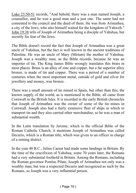Luke 23:50-51 records, "And behold, there was a man named Joseph, a counsellor, and he was a good man and a just one. The same had not consented to the council and the deed of them. He was from Arimathea, a city of the Jews; who also himself waited for the kingdom of Yahweh." John 19:38 tells of Joseph of Arimathea being a disciple of Yahshua, but secretly for fear of the Jews.

The Bible doesn't record the fact that Joseph of Arimathea was a great uncle of Yahshua, but the fact is well known in the ancient traditions of Palestine. He was an uncle of Mary (Miriam) the mother of Yahshua. Joseph was a wealthy man, as the Bible records, because he was an importer of tin. The King James Bible wrongly translates this brass in most places. Brass is an alloy of zinc and copper, but a far superior alloy bronze, is made of tin and copper. There was a period of a number of centuries when the most important metal, outside of gold and silver for jewellery and money, was bronze.

There was a small amount of tin mined in Spain, but other than this, the known supply of the world, as is mentioned in the Bible, all came from Cornwall in the British Isles. It is recorded in the early British chronicles that Joseph of Arimathea was the owner of some of the tin mines in Cornwall. Joseph also had a fairly extensive fleet of ships in which to transport tin and they also carried other merchandise, so he was a man of substantial wealth.

In the Latin translation by Jerome, which is the official Bible of the Roman Catholic Church, it mentions Joseph of Arimathea was called Decurio, which is a Roman title, which was given to an officer in charge of a mining district.

In the year 40 B.C., Julius Caesar had made some landings in Britain. By the time of the crucifixion of Yahshua, some 70 years later, the Romans had a very substantial foothold in Britain. Among the Romans, including the Roman governor Pontius Pilate, Joseph of Arimathea not only was a wealthy man, but was a respected Decurio and recognized as such by the Romans, so Joseph was a very influential person.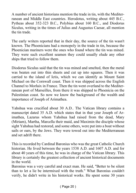A number of ancient historians mention the trade in tin, with the Mediterranean and Middle East countries. Herodotus, writing about 445 B.C., Pytheas about 352-323 B.C., Polybius about 160 B.C., and Diodorus Siculus, writing in the times of Julius and Augustus Caesar, all mention the tin trade.

The early writers reported that in their day, the source of the tin wasn't known. The Phoenicians had a monopoly in the trade in tin, because the Phoenician mariners were the ones who found where the tin was mined. They were such excellent seamen they could usually elude any other ships that tried to follow them.

Diodorus Siculus said that the tin was mined and smelted, then the metal was beaten out into thin sheets and cut up into squares. Then it was carried to the island of Ictis, which we can identify as Mount Saint Michael on the Cornwall coast. Then it was shipped across the English Channel to Morlaix in France. Then the tin went overland to the Mediterranean port of Marseilles, from there it was shipped to Phoenicia on the Palestinian coast. So now we know the background of the wealth and importance of Joseph of Arimathea.

Yahshua was crucified about 30 A.D.. The Vatican library contains a manuscript dated 35 A.D. which states that in that year Joseph of Arimathea, Lazarus whom Yahshua had raised from the dead, Mary (Miriam), Martha, Marcella their maid, and Maximin the disciple whose sight Yahshua had restored, and some others, were put into a boat without sails or oars, by the Jews. They were towed out into the Mediterranean and set adrift there.

This is recorded by Cardinal Baronius who was the great Catholic Church historian. He lived between the years 1538 A.D. and 1607 A.D. and for about 40 years of this time, he was in charge of the Vatican library. This library is certainly the greatest collection of ancient historical documents in the world.

Baronius was a very careful and exact man. He said, "Better to be silent than to let a lie be intermixed with the truth." What Baronius couldn't verify, he didn't write in his historical works. He spent some 30 years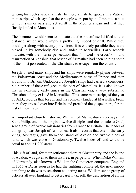writing his ecclesiastical annals. In these annals he quotes this Vatican manuscript, which says that these people were put by the Jews, into a boat without sails or oars and set adrift in the Mediterranean and that they finally landed at Marseilles.

The document would seem to indicate that the boat of itself drifted all that distance, which would imply a pretty high speed of drift. While they could get along with scanty provisions, it is entirely possible they were picked up by somebody else and landed in Marseilles. Early records indicate, with the intense persecution that followed the crucifixion and resurrection of Yahshua, that Joseph of Arimathea had been helping some of the most persecuted of the Christians, to escape from the country.

Joseph owned many ships and his ships were regularly plying between the Palestinian coast and the Mediterranean coast of France and then around into Britain. Undoubtedly Joseph's ships had carried a considerable number of these refugees to the port of Marseilles. It is also known that in extremely early times in the Christian era, a very substantial Christian colony existed in Marseilles. This same manuscript, of the year 35 A.D., records that Joseph and his company landed at Marseilles. From there they crossed over into Britain and preached the gospel there, for the rest of their lives.

An important church historian, William of Malmesbury also says that Saint Philip, one of the original twelve disciples and the apostle to Gaul, sent a group of twelve missionaries from France to Britain. The leader of this group was Joseph of Arimathea. It also records that one of the early kings, Arviragus, gave them the island of Avalon and twelve hides of land, which was close to Glastonbury. Twelve hides of land would be equal to about 1,920 acres.

This gift of land, for their settlement there at Glastonbury and the island of Avalon, was given to them tax free, in perpetuity. When Duke William of Normandy, also known as William the Conqueror, conquered England in 1066 A.D., as soon as he had the fighting completed, the next important thing to do was to see about collecting taxes. William sent a group of officers all over England to get a careful tax roll, the description of all the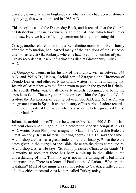privately owned lands in England, and what tax they had been customarily paying, this was completed in 1085 A.D.

This record is called the Doomsday Book, and it records that the Church of Glastonbury has in its own villa 12 hides of land, which have never paid tax. Here we have official government history confirming this.

Cressy, another church historian, a Benedictine monk who lived shortly after the reformation, had learned many of the traditions of the Benedictine monastery at Glastonbury, where he had lived for a number of years. Cressy records that Joseph of Arimathea died at Glastonbury, July 27, 82 A.D.

St. Gregory of Tours, in his history of the Franks, written between 544 A.D. and 595 A.D., Haleca, Archbishop of Zaragosa, the Chronicon of Pseudo Dexter, and other early historians writers, all unite in saying that Joseph of Arimathea was the first person to preach the gospel in Britain. The apostle Philip was, by all the early records, recognized as being the apostle to Gaul. The early church records call him the Apostle of Gaul. Isadore the Archbishop of Seville between 606 A.D. and 636 A.D., was the greatest man in Spanish church history of his period. Isadore records, "Philip of the city of Bethsaida, whence also came Peter, preached Christ to the Gauls."

Julian, the archbishop of Toledo between 680 A.D. and 690 A.D., the last eminent churchman in gothic Spain before the Moorish conquest in 711 A.D. wrote, "Saint Philip was assigned to Gaul." The Venerable Bede the Great, an early British historian, writing about 673 A.D., says the same. Archbishop Ussher was a great student of church history. When there are dates given in the margin of the Bible, these are the dates computed by Archbishop Ussher. He says, "St. Philip preached Christ to the Gauls." It is worthy to note that there has been a mix-up in the Bible in the understanding of this. This mix-up is not in the writing of it but in the understanding. There is a letter of Paul's to the Galatians. Who are the Galatians? Most of the ministers say this refers to Galatia, a little colony of a few cities in central Asia Minor, called Turkey today.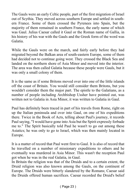The Gauls were an early Celtic people, part of the first migration of Israel out of Scythia. They moved across southern Europe and settled in southern France. Some of them crossed the Pyrenees into Spain, but the majority of them remained in southern France, the early name of which was Gaul. Julius Caesar called it Gaul or the Roman name of Gallia, in his history of his war with the Gauls and the Greek form of the word was Galatia.

While the Gauls were on the march, and fairly early before they had migrated beyond the Balkan area of south-eastern Europe, some of them had decided not to continue going west. They crossed the Black Sea and landed on the northern shore of Asia Minor and moved into the interior. The area was then called Galatia because these people were Gauls, but it was only a small colony of them.

It is the same as if some Britons moved over into one of the little islands off the coast of Britain. You would still consider them Britons, but you wouldn't consider them the major part. The epistle to the Galatians, as a number of people including Archbishop Ussher have pointed out, was written not to Galatia in Asia Minor, it was written to Galatia in Gaul.

Paul has definitely been traced in part of his travels from Rome, right on up the Italian peninsula and over into Gaul, on one of his expeditions there. Twice in the Book of Acts, telling about Paul's journey, it records Paul saying, "I would have gone into Asia but the Spirit expressly forbade me to." The Spirit basically told Paul he wasn't to go out among these Asiatics; he was only to go to Israel, which was then mainly located in Europe.

It is a matter of record that Paul went first to Gaul. It is also of record that he travelled on a number of missionary expeditions to others and he eventually was murdered in Asia Minor. This wasn't the reception Paul got when he was in the real Galatia, in Gaul.

In Britain the religion was that of the Druids and to a certain extent, the Druid religion was also known among the Gauls, on the continent of Europe. The Druids were bitterly slandered by the Romans; Caesar said the Druids offered human sacrifices. Caesar recorded the Druid's belief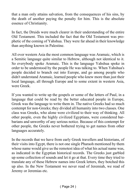that a man only attains salvation, from the consequences of his sins, by the death of another paying the penalty for him. This is the absolute essence of Christianity.

In fact, the Druids were much clearer in their understanding of the entire Old Testament. This included the fact that the Old Testament was prophetic of the coming of Yahshua. They were far ahead in their knowledge than anything known in Palestine.

All over western Asia the most common language was Aramaic, which is a Semitic language quite similar to Hebrew, although not identical to it. So everybody spoke Aramaic. This is the language Yahshua spoke in order to be understood by the people He was talking to. When Yahshua's people decided to branch out into Europe, and go among people who didn't understand Aramaic, learned people who knew more than just their local language, all through Europe and to some extent in western Asia, were Greek.

If you wanted to write up the gospels or some of the letters of Paul, in a language that could be read by the better educated people in Europe, Greek was the language to write them in. The native Greeks had so much contempt for non-Greeks; they divided all humanity into two classes. One class was Greeks, who alone were civilized to their way of thinking. All other people, even the highly civilized Egyptians, were considered barbarians and unworthy of any serious notice. Because of this contempt for other people, the Greeks never bothered trying to get names from other languages accurately.

In the records that we have from early Greek travellers and historians, of their visits into Egypt, there is not one single Pharaoh mentioned by them whose name would give us the remotest idea of what his actual name was, as indicated in the Egyptian historical records. The Greeks just garbled up some collection of sounds and let it go at that. Every time they tried to translate any of these Hebrew names into Greek letters, they botched this up also. In the New Testament we never read of Jeremiah, we read of Jeremy or Jeremias etc.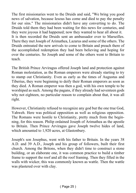The first missionaries went to the Druids and said, "We bring you good news of salvation, because Iesous has come and died to pay the penalty for our sins." The missionaries didn't have any converting to do. The Druids told them they had been waiting for this news for centuries, and they were joyous it had happened; now they wanted to hear all about it. It is then recorded the Druids sent an ambassador over to Marseilles. There they met Joseph of Arimathea, Lazarus and some of the others. The Druids entreated the new arrivals to come to Britain and preach there of the accomplished redemption they had been believing and hoping for over the centuries. So Joseph and some of the others went to Britain to teach.

The British Prince Arviragus offered Joseph land and protection against Roman molestation, as the Roman emperors were already starting to try to stamp out Christianity. Even as early as the times of Augustus and Tiberius, they were beginning to deify their Roman emperors as soon as they died. A Roman emperor was then a god, with his own temple to be worshiped as such. Among the pagans, if they already had seventeen gods why not eighteen, no particular reason to complain about that, it was all right.

However, Christianity refused to recognize any god but the one true God, Yahweh. Here was political opposition as well as religious opposition. The Romans were hostile to Christianity, pretty much from the beginning, for this reason. Philip ordained Joseph of Arimathea as the apostle to Britain. Then Prince Arviragus gave Joseph twelve hides of land, which amounted to 1,920 acres, at Glastonbury.

Joseph's son Josephus, went with his father to Britain. In the years 38 A.D. and 39 A.D., Joseph and his group of followers, built their first church. Among the Britons, when they didn't time to construct a stone building, or an elaborate one, it was common practice to build a timber frame to support the roof and all the roof framing. Then they filled in the walls with wicker, this was commonly known as wattle. Then the wattle was plastered over with clay.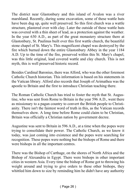The district near Glastonbury and this island of Avalon was a river marshland. Recently, during some excavation, some of these wattle huts have been dug up, quite well preserved. So this first church was a wattle structure, plastered over with clay. Later the outside of these wattle huts was covered with a thin sheet of lead, as a protection against the weather. In the year 630 A.D., as part of the great monastery structure there at Glastonbury, St. Paulinus built over this first wattle church, the beautiful stone chapel of St. Mary's. This magnificent chapel was destroyed by the fire which burned down the entire Glastonbury Abbey in the year 1184 A.D. Up to the time of the fire, preserved within this St. Mary's chapel, was this little original, lead covered wattle and clay church. This is not myth, this is well preserved historic record.

Besides Cardinal Baronius, there was Alford, who was the other foremost Catholic Church historian. This information is based on his statements in the Vatican library. Alford also records that Joseph of Arimathea was the apostle to Britain and the first to introduce Christian teaching there.

The Roman Catholic Church has tried to foster the myth that St. Augustine, who was sent from Rome to Britain in the year 596 A.D., went there as missionary to a pagan country to convert the British people to Christianity. There isn't the faintest word of truth in this, as the Vatican records themselves show. A long time before Rome could claim to be Christian, Britain was officially a Christian nation by government decree.

Augustine was sent to Britain in 596 A.D., at a time when the popes were trying to consolidate their power. The Catholic Church, as we know it today, was just coming into existence and the popes were searching for recognition. These popes were nothing but the bishops of Rome and there were bishops in all the important centres.

There was the Bishop of Carthage, on the shores of North Africa and the Bishop of Alexandria in Egypt. There were bishops in other important cities in western Asia. Every time the bishop of Rome got to throwing his weight around and trying to give orders to these other bishops, they whittled him down to size by reminding him he didn't have any authority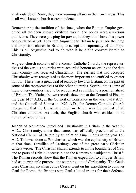at all outside of Rome, they were running affairs in their own areas. This is all well-known church correspondence.

Remembering the tradition of the times, when the Roman Empire governed all the then known civilized world, the popes were ambitious politicians. They were grasping for power, but they didn't have this power consolidated as yet. They sent Augustine to Britain to persuade the large and important church in Britain, to accept the supremacy of the Pope. This is all Augustine had to do with it he didn't convert Britain to Christianity.

At great church councils of the Roman Catholic Church, the representatives of the various countries were accorded honour according to the date their country had received Christianity. The earliest that had accepted Christianity were recognized as the more important and entitled to greater honour. There was a great deal of jealousy towards Britain, on the part of some of the representatives of the other countries. Several times some of these other countries tried to be recognized as entitled to a position ahead of Britain. The Vatican's own records show that at the Council of Pisa, in the year 1417 A.D., at the Council of Constance in the year 1419 A.D., and the Council of Sienna in 1423 A.D., the Roman Catholic Church recognized that the Christian church in Britain was the earliest of all Christian churches. As such, the English church was entitled to be honoured accordingly.

Joseph of Arimathea introduced Christianity in Britain in the year 36 A.D... Christianity, under that name, was officially proclaimed as the National Church of Britain by an edict of King Lucius in the year 156 A.D. This was done at Winchester, which was the capital city of Britain at that time. Tertullian of Carthage, one of the great early Christian writers wrote, "The Christian church extends to all the boundaries of Gaul and to parts of Britain inaccessible to the Romans but subject to Christ." The Roman records show that the Roman expedition to conquer Britain had as its principle purpose, the stamping out of Christianity. The Gauls were Christian, so when Julius Caesar went on his expedition to conquer Gaul for Rome, the Britains sent Gaul a lot of troops for their defence.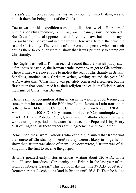Caesar's own records show that his first expedition into Britain, was to punish them for being allies of the Gauls.

Caesar was on this expedition something like three weeks. He returned with his boastful statement, "*Vini, vidi, vinci*. I came, I saw, I conquered." But Caesar's political opponents said, "I came, I saw, but I didn't stay." Caesar had been driven out in three weeks. Here was Britain, the principle seat of Christianity. The records of the Roman emperors, who sent their armies there to conquer Britain, show that it was primarily to stamp out Christianity.

The English, as well as Roman records record that the British put up such a ferocious resistance, the Roman armies never even got to Glastonbury. These armies were never able to molest the seat of Christianity in Britain. Sebellius, another early Christian writer, writing around the year 250 A.D., writes this. "Christianity was privately confessed elsewhere, but the first nation that proclaimed it as their religion and called it Christian, after the name of Christ, was Britain."

There is similar recognition of this given in the writings of St. Jerome, the same man who translated the Bible into Latin. Jerome's Latin translation is the official Bible of the Catholic Church. Jerome wrote about 378 A.D., Arnobius about 400 A.D., Chrysostom, patriarch of Constantinople wrote in 402 A.D. and Polydore Vergil, an eminent Catholic churchman who wrote during the period of the quarrels between the Pope and King Henry VIII of England, all these writers are in agreement with each other.

Remember, these were Catholics who officially claimed that Rome was the source of Christianity. Therefore they weren't likely to forge lies to show that Britain was ahead of them. Polydore wrote, "Britain was of all kingdoms the first to receive the gospel."

Britain's greatest early historian Gildas, writing about 520 A.D., wrote this. "Joseph introduced Christianity into Britain in the last year of the reign of Tiberius Caesar." This would make the time 37 A.D. or 38 A.D. Remember that Joseph didn't land in Britain until 36 A.D. Then he had to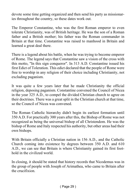devote some time getting organized and then send his party as missionaries throughout the country, so these dates work out.

The Emperor Constantine, who was the first Roman emperor to even tolerate Christianity, was of British heritage. He was the son of a Roman father and a British mother; his father was the Roman commander in Britain at that time. Constantine was raised to manhood in Britain and learned a great deal there.

There is a legend about his battle, when he was trying to become emperor of Rome. The legend says that Constantine saw a vision of the cross with this motto, "In this sign conqueror". In 313 A.D. Constantine issued his first Edict of Toleration. This edict declared that the people of Rome were free to worship in any religion of their choice including Christianity, not excluding paganism.

It was quite a few years later that he made Christianity the official religion, deposing paganism. Constantine convened the Council of Nicea in the year 325 A.D., to compel the divided Christian church to agree on their doctrines. There was a great split in the Christian church at that time, so the Council of Nicea was convened.

The Roman Catholic hierarchy didn't begin its earliest formation until 350 A.D. For practically 300 years after this, the Bishop of Rome was not recognized as being the universal bishop of all Christendom. He was the bishop of Rome and Italy respected his authority, but other areas had their own bishops.

With Britain officially a Christian nation in 156 A.D., and the Catholic Church coming into existence by degrees between 350 A.D. and 610 A.D., we can see that Britain is where Christianity gained its first foothold in the civilized world.

In closing, it should be stated that history records that Nicodemus was in the group of people with Joseph of Arimathea, who came to Britain after the crucifixion.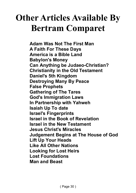## **Other Articles Available By Bertram Comparet**

**Adam Was Not The First Man A Faith For These Days America is a Bible Land Babylon's Money Can Anything be Judaeo-Christian? Christianity in the Old Testament Daniel's 5th Kingdom Destroying Many By Peace False Prophets Gathering of The Tares God's Immigration Laws In Partnership with Yahweh Isaiah Up To date Israel's Fingerprints Israel in the Book of Revelation Israel in the New Testament Jesus Christ's Miracles Judgement Begins at The House of God Lift Up Your Heads Like All Other Nations Looking for Lost Heirs Lost Foundations Man and Beast**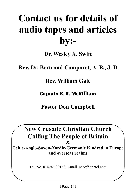## **Contact us for details of audio tapes and articles by:-**

**Dr. Wesley A. Swift**

 **Rev. Dr. Bertrand Comparet, A. B., J. D.**

**Rev. William Gale**

**Captain K. R. McKilliam**

**Pastor Don Campbell**

**New Crusade Christian Church Calling The People of Britain &**

**Celtic-Anglo-Saxon-Nordic-Germanic Kindred in Europe and overseas realms**

Tel. No. 01424 730163 E-mail nccc@onetel.com